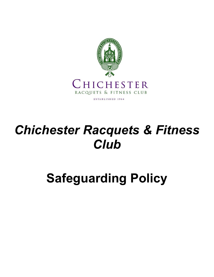

# *Chichester Racquets & Fitness Club*

# **Safeguarding Policy**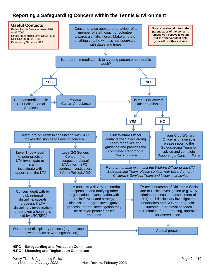## **Reporting a Safeguarding Concern within the Tennis Environment**



#### **\*SPC – Safeguarding and Protection Committee \*LRC – Licensing and Registration Committee**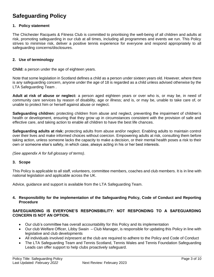# **Safeguarding Policy**

#### **1. Policy statement**

The Chichester Racquets & Fitness Club is committed to prioritising the well-being of all children and adults at risk, promoting safeguarding in our club at all times, including all programmes and events we run. This Policy strives to minimise risk, deliver a positive tennis experience for everyone and respond appropriately to all safeguarding concerns/disclosures.

#### **2. Use of terminology**

**Child:** a person under the age of eighteen years.

Note that some legislation in Scotland defines a child as a person under sixteen years old. However, where there is any safeguarding concern, anyone under the age of 18 is regarded as a child unless advised otherwise by the LTA Safeguarding Team .

**Adult at risk of abuse or neglect:** a person aged eighteen years or over who is, or may be, in need of community care services by reason of disability, age or illness; and is, or may be, unable to take care of, or unable to protect him or herself against abuse or neglect.

**Safeguarding children:** protecting children from abuse and neglect, preventing the impairment of children's health or development, ensuring that they grow up in circumstances consistent with the provision of safe and effective care, and taking action to enable all children to have the best life chances.

**Safeguarding adults at risk:** protecting adults from abuse and/or neglect. Enabling adults to maintain control over their lives and make informed choices without coercion. Empowering adults at risk, consulting them before taking action, unless someone lacks the capacity to make a decision, or their mental health poses a risk to their own or someone else's safety, in which case, always acting in his or her best interests.

*(See appendix A for full glossary of terms)*.

#### **3. Scope**

This Policy is applicable to all staff, volunteers, committee members, coaches and club members. It is in line with national legislation and applicable across the UK.

Advice, guidance and support is available from the LTA Safeguarding Team.

#### **4. Responsibility for the implementation of the Safeguarding Policy, Code of Conduct and Reporting Procedure**

#### **SAFEGUARDING IS EVERYONE'S RESPONSIBILITY: NOT RESPONDING TO A SAFEGUARDING CONCERN IS NOT AN OPTION.**

- Our club's committee has overall accountability for this Policy and its implementation
- Our club Welfare Officer, Libby Swain Club Manager, is responsible for updating this Policy in line with legislative and club developments
- All individuals involved in/present at the club are required to adhere to the Policy and Code of Conduct
- The LTA Safeguarding Team and Tennis Scotland, Tennis Wales and Tennis Foundation Safeguarding Leads can offer support to help clubs proactively safeguard.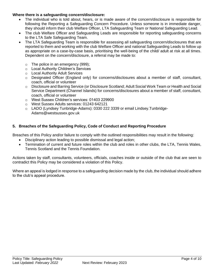#### **Where there is a safeguarding concern/disclosure:**

- The individual who is told about, hears, or is made aware of the concern/disclosure is responsible for following the Reporting a Safeguarding Concern Procedure. Unless someone is in immediate danger, they should inform their club Welfare Officer, LTA Safeguarding Team or National Safeguarding Lead.
- The club Welfare Officer and Safeguarding Leads are responsible for reporting safeguarding concerns to the LTA Safe Safeguarding Team.
- The LTA Safeguarding Team is responsible for assessing all safeguarding concern/disclosures that are reported to them and working with the club Welfare Officer and national Safeguarding Leads to follow up as appropriate on a case-by-case basis, prioritising the well-being of the child/ adult at risk at all times. Dependent on the concern/disclosure, a referral may be made to:
	- o The police in an emergency (999);
	- o Local Authority Children's Services
	- o Local Authority Adult Services
	- $\circ$  Designated Officer (England only) for concerns/disclosures about a member of staff, consultant, coach, official or volunteer
	- o Disclosure and Barring Service (or Disclosure Scotland; Adult Social Work Team or Health and Social Service Department (Channel Islands) for concerns/disclosures about a member of staff, consultant, coach, official or volunteer
	- o West Sussex Children's services: 01403 229900
	- o West Sussex Adults services: 01243 642121
	- o LADO (Lyndsey Tunbridge-Adams): 0330 222 3339 or email Lindsey.Tunbridge-Adams@westsussex.gov.uk

#### **5. Breaches of the Safeguarding Policy, Code of Conduct and Reporting Procedure**

Breaches of this Policy and/or failure to comply with the outlined responsibilities may result in the following:

- Disciplinary action leading to possible dismissal and legal action;
- Termination of current and future roles within the club and roles in other clubs, the LTA, Tennis Wales, Tennis Scotland and the Tennis Foundation*.*

Actions taken by staff, consultants, volunteers, officials, coaches inside or outside of the club that are seen to contradict this Policy may be considered a violation of this Policy.

Where an appeal is lodged in response to a safeguarding decision made by the club, the individual should adhere to the club's appeal procedure.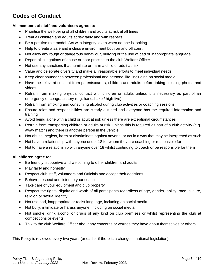# **Codes of Conduct**

#### **All members of staff and volunteers agree to:**

- Prioritise the well-being of all children and adults at risk at all times
- Treat all children and adults at risk fairly and with respect
- Be a positive role model. Act with integrity, even when no one is looking
- Help to create a safe and inclusive environment both on and off court
- Not allow any rough or dangerous behaviour, bullying or the use of bad or inappropriate language
- Report all allegations of abuse or poor practice to the club Welfare Officer
- Not use any sanctions that humiliate or harm a child or adult at risk
- Value and celebrate diversity and make all reasonable efforts to meet individual needs
- Keep clear boundaries between professional and personal life, including on social media
- Have the relevant consent from parents/carers, children and adults before taking or using photos and videos
- Refrain from making physical contact with children or adults unless it is necessary as part of an emergency or congratulatory (e.g. handshake / high five)
- Refrain from smoking and consuming alcohol during club activities or coaching sessions
- Ensure roles and responsibilities are clearly outlined and everyone has the required information and training
- Avoid being alone with a child or adult at risk unless there are exceptional circumstances
- Refrain from transporting children or adults at risk, unless this is required as part of a club activity (e.g. away match) and there is another person in the vehicle
- Not abuse, neglect, harm or discriminate against anyone; or act in a way that may be interpreted as such
- Not have a relationship with anyone under 18 for whom they are coaching or responsible for
- Not to have a relationship with anyone over 18 whilst continuing to coach or be responsible for them

#### **All children agree to:**

- Be friendly, supportive and welcoming to other children and adults
- Play fairly and honestly
- Respect club staff, volunteers and Officials and accept their decisions
- Behave, respect and listen to your coach
- Take care of your equipment and club property
- Respect the rights, dignity and worth of all participants regardless of age, gender, ability, race, culture, religion or sexual identity
- Not use bad, inappropriate or racist language, including on social media
- Not bully, intimidate or harass anyone, including on social media
- Not smoke, drink alcohol or drugs of any kind on club premises or whilst representing the club at competitions or events
- Talk to the club Welfare Officer about any concerns or worries they have about themselves or others

This Policy is reviewed every two years (or earlier if there is a change in national legislation).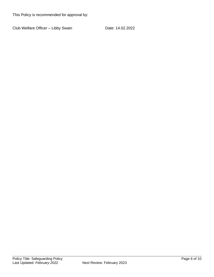This Policy is recommended for approval by:

Club Welfare Officer - Libby Swain Date: 14.02.2022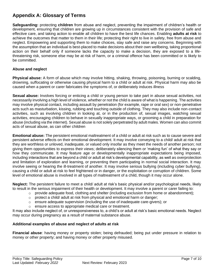## **Appendix A: Glossary of Terms**

**Safeguarding:** protecting **children** from abuse and neglect, preventing the impairment of children's health or development, ensuring that children are growing up in circumstances consistent with the provision of safe and effective care, and taking action to enable all children to have the best life chances. Enabling **adults at risk** to achieve the outcomes that matter to them in their life; protecting their right to live in safety, free from abuse and neglect. Empowering and supporting them to make choices, stay safe and raise any concerns. Beginning with the assumption that an individual is best-placed to make decisions about their own wellbeing, taking proportional action on their behalf only if someone lacks the capacity to make a decision, they are exposed to a lifethreatening risk, someone else may be at risk of harm, or a criminal offence has been committed or is likely to be committed.

#### **Abuse and neglect**

**Physical abuse:** A form of abuse which may involve hitting, shaking, throwing, poisoning, burning or scalding, drowning, suffocating or otherwise causing physical harm to a child or adult at risk. Physical harm may also be caused when a parent or carer fabricates the symptoms of, or deliberately induces illness

**Sexual abuse:** Involves forcing or enticing a child or young person to take part in abuse sexual activities, not necessarily involving a high level of violence, whether or not the child is aware of what is happening. The activities may involve physical contact, including assault by penetration (for example, rape or oral sex) or non-penetrative acts such as masturbation, kissing, rubbing and touching outside of clothing. They may also include non-contact activities, such as involving children in looking at, or in the production of, sexual images, watching sexual activities, encouraging children to behave in sexually inappropriate ways, or grooming a child in preparation for abuse (including via the internet). Sexual abuse is not solely perpetrated by adult males. Women can also commit acts of sexual abuse, as can other children

**Emotional abuse:** The persistent emotional maltreatment of a child or adult at risk such as to cause severe and persistent adverse effects on their emotional development. It may involve conveying to a child/ adult at risk that they are worthless or unloved, inadequate, or valued only insofar as they meet the needs of another person; not giving them opportunities to express their views; deliberately silencing them or 'making fun' of what they say or how they communicate. It may feature age or developmentally inappropriate expectations being imposed, including interactions that are beyond a child or adult at risk's developmental capability, as well as overprotection and limitation of exploration and learning, or preventing them participating in normal social interaction. It may involve seeing or hearing the ill-treatment of another. It may involve serious bullying (including cyber bullying), causing a child or adult at risk to feel frightened or in danger, or the exploitation or corruption of children. Some level of emotional abuse is involved in all types of maltreatment of a child, though it may occur alone.

**Neglect:** The persistent failure to meet a child/ adult at risk's basic physical and/or psychological needs, likely to result in the serious impairment of their health or development. It may involve a parent or carer failing to:

- $\circ$  provide adequate food, clothing and shelter (including exclusion from home or abandonment);
- $\circ$  protect a child/ adult at risk from physical and emotional harm or danger;
- $\circ$  ensure adequate supervision (including the use of inadequate care-givers); or
- o ensure access to appropriate medical care or treatment.

It may also include neglect of, or unresponsiveness to, a child's or adult at risk's basic emotional needs. Neglect may occur during pregnancy as a result of maternal substance abuse.

#### **Additional examples of abuse and neglect of adults at risk**

**Financial abuse**: having money or property stolen; being defrauded; being put under pressure in relation to money or other property; and having money or other property misused.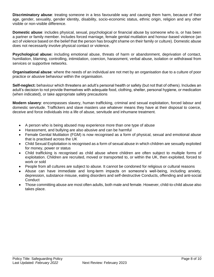**Discriminatory abuse**: treating someone in a less favourable way and causing them harm, because of their age, gender, sexuality, gender identity, disability, socio-economic status, ethnic origin, religion and any other visible or non-visible difference.

**Domestic abuse**: includes physical, sexual, psychological or financial abuse by someone who is, or has been a partner or family member. Includes forced marriage, female genital mutilation and honour-based violence (an act of violence based on the belief that the person has brought shame on their family or culture). Domestic abuse does not necessarily involve physical contact or violence.

**Psychological abuse:** including emotional abuse, threats of harm or abandonment, deprivation of contact, humiliation, blaming, controlling, intimidation, coercion, harassment, verbal abuse, isolation or withdrawal from services or supportive networks.

**Organisational abuse**: where the needs of an individual are not met by an organisation due to a culture of poor practice or abusive behaviour within the organisation.

**Self-neglect:** behaviour which threatens an adult's personal health or safety (but not that of others). Includes an adult's decision to not provide themselves with adequate food, clothing, shelter, personal hygiene, or medication (when indicated), or take appropriate safety precautions

**Modern slavery**: encompasses slavery, human trafficking, criminal and sexual exploitation, forced labour and domestic servitude. Traffickers and slave masters use whatever means they have at their disposal to coerce, deceive and force individuals into a life of abuse, servitude and inhumane treatment.

- A person who is being abused may experience more than one type of abuse
- Harassment, and bullying are also abusive and can be harmful
- Female Genital Mutilation (FGM) is now recognised as a form of physical, sexual and emotional abuse that is practised across the UK
- Child Sexual Exploitation is recognised as a form of sexual abuse in which children are sexually exploited for money, power or status
- Child trafficking is recognised as child abuse where children are often subject to multiple forms of exploitation. Children are recruited, moved or transported to, or within the UK, then exploited, forced to work or sold
- People from all cultures are subject to abuse. It cannot be condoned for religious or cultural reasons
- Abuse can have immediate and long-term impacts on someone's well-being, including anxiety, depression, substance misuse, eating disorders and self-destructive Conducts, offending and anti-social **Conduct**
- Those committing abuse are most often adults, both male and female. However, child-to-child abuse also takes place.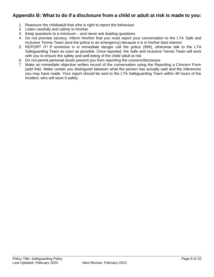### **Appendix B: What to do if a disclosure from a child or adult at risk is made to you:**

- 1. Reassure the child/adult that s/he is right to report the behaviour
- 2. Listen carefully and calmly to him/her
- 3. Keep questions to a minimum and never ask leading questions
- 4. Do not promise secrecy. Inform him/her that you must report your conversation to the LTA Safe and Inclusive Tennis Team (and the police in an emergency) because it is in his/her best interest
- 5. REPORT IT! If someone is in immediate danger call the police (999), otherwise talk to the LTA Safeguarding Team as soon as possible. Once reported, the Safe and Inclusive Tennis Team will work with you to ensure the safety and well-being of the child/ adult at risk
- 6. Do not permit personal doubt prevent you from reporting the concern/disclosure
- 7. Make an immediate objective written record of the conversation using the Reporting a Concern Form *(add link)*. Make certain you distinguish between what the person has actually said and the inferences you may have made. Your report should be sent to the LTA Safeguarding Team within 48 hours of the incident, who will store it safely.